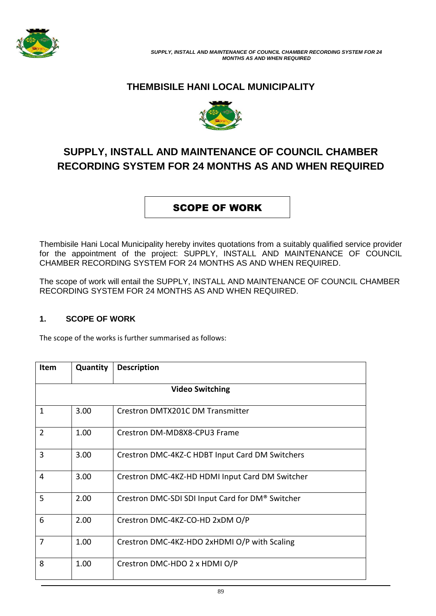

## **THEMBISILE HANI LOCAL MUNICIPALITY**



# **SUPPLY, INSTALL AND MAINTENANCE OF COUNCIL CHAMBER RECORDING SYSTEM FOR 24 MONTHS AS AND WHEN REQUIRED**

## SCOPE OF WORK

Thembisile Hani Local Municipality hereby invites quotations from a suitably qualified service provider for the appointment of the project: SUPPLY, INSTALL AND MAINTENANCE OF COUNCIL CHAMBER RECORDING SYSTEM FOR 24 MONTHS AS AND WHEN REQUIRED.

The scope of work will entail the SUPPLY, INSTALL AND MAINTENANCE OF COUNCIL CHAMBER RECORDING SYSTEM FOR 24 MONTHS AS AND WHEN REQUIRED.

### **1. SCOPE OF WORK**

The scope of the works is further summarised as follows:

| <b>Item</b>            | Quantity | <b>Description</b>                               |  |  |
|------------------------|----------|--------------------------------------------------|--|--|
| <b>Video Switching</b> |          |                                                  |  |  |
| $\mathbf{1}$           | 3.00     | <b>Crestron DMTX201C DM Transmitter</b>          |  |  |
| $\overline{2}$         | 1.00     | Crestron DM-MD8X8-CPU3 Frame                     |  |  |
| 3                      | 3.00     | Crestron DMC-4KZ-C HDBT Input Card DM Switchers  |  |  |
| 4                      | 3.00     | Crestron DMC-4KZ-HD HDMI Input Card DM Switcher  |  |  |
| 5                      | 2.00     | Crestron DMC-SDI SDI Input Card for DM® Switcher |  |  |
| 6                      | 2.00     | Crestron DMC-4KZ-CO-HD 2xDM O/P                  |  |  |
| 7                      | 1.00     | Crestron DMC-4KZ-HDO 2xHDMI O/P with Scaling     |  |  |
| 8                      | 1.00     | Crestron DMC-HDO 2 x HDMI O/P                    |  |  |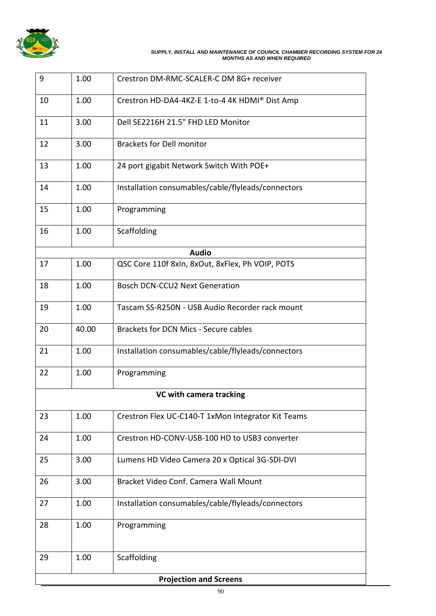

#### *SUPPLY, INSTALL AND MAINTENANCE OF COUNCIL CHAMBER RECORDING SYSTEM FOR 24 MONTHS AS AND WHEN REQUIRED*

| 9                             | 1.00  | Crestron DM-RMC-SCALER-C DM 8G+ receiver           |  |  |  |  |
|-------------------------------|-------|----------------------------------------------------|--|--|--|--|
| 10                            | 1.00  | Crestron HD-DA4-4KZ-E 1-to-4 4K HDMI® Dist Amp     |  |  |  |  |
| 11                            | 3.00  | Dell SE2216H 21.5" FHD LED Monitor                 |  |  |  |  |
| 12                            | 3.00  | <b>Brackets for Dell monitor</b>                   |  |  |  |  |
| 13                            | 1.00  | 24 port gigabit Network Switch With POE+           |  |  |  |  |
| 14                            | 1.00  | Installation consumables/cable/flyleads/connectors |  |  |  |  |
| 15                            | 1.00  | Programming                                        |  |  |  |  |
| 16                            | 1.00  | Scaffolding                                        |  |  |  |  |
|                               |       |                                                    |  |  |  |  |
|                               |       | <b>Audio</b>                                       |  |  |  |  |
| 17                            | 1.00  | QSC Core 110f 8xln, 8xOut, 8xFlex, Ph VOIP, POTS   |  |  |  |  |
| 18                            | 1.00  | <b>Bosch DCN-CCU2 Next Generation</b>              |  |  |  |  |
| 19                            | 1.00  | Tascam SS-R250N - USB Audio Recorder rack mount    |  |  |  |  |
| 20                            | 40.00 | Brackets for DCN Mics - Secure cables              |  |  |  |  |
| 21                            | 1.00  | Installation consumables/cable/flyleads/connectors |  |  |  |  |
| 22                            | 1.00  | Programming                                        |  |  |  |  |
| VC with camera tracking       |       |                                                    |  |  |  |  |
| 23                            | 1.00  | Crestron Flex UC-C140-T 1xMon Integrator Kit Teams |  |  |  |  |
| 24                            | 1.00  | Crestron HD-CONV-USB-100 HD to USB3 converter      |  |  |  |  |
| 25                            | 3.00  | Lumens HD Video Camera 20 x Optical 3G-SDI-DVI     |  |  |  |  |
| 26                            | 3.00  | Bracket Video Conf. Camera Wall Mount              |  |  |  |  |
| 27                            | 1.00  | Installation consumables/cable/flyleads/connectors |  |  |  |  |
| 28                            | 1.00  | Programming                                        |  |  |  |  |
| 29                            | 1.00  | Scaffolding                                        |  |  |  |  |
| <b>Projection and Screens</b> |       |                                                    |  |  |  |  |